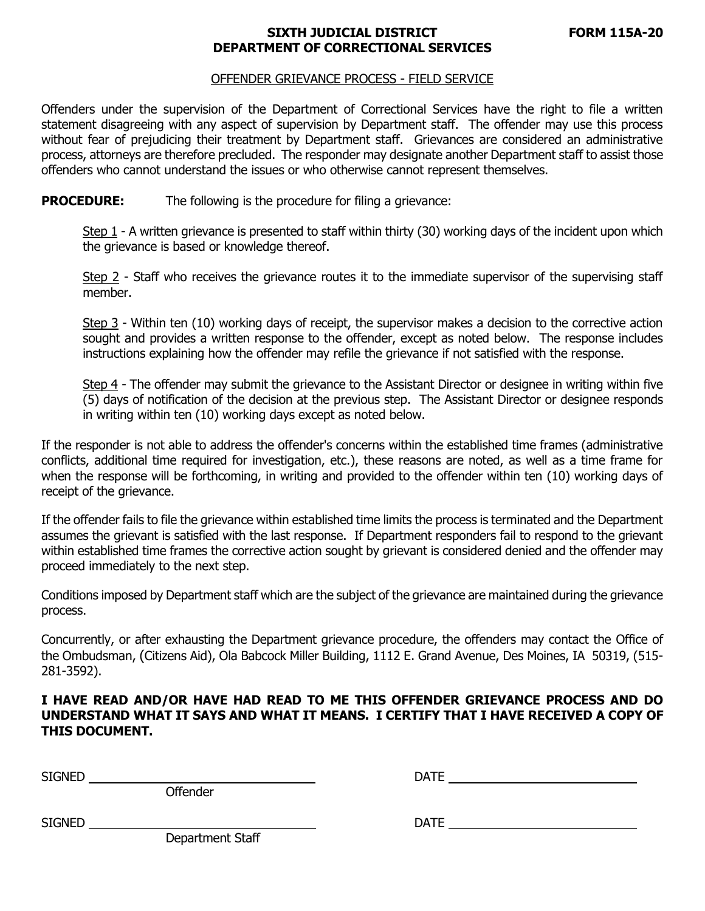## **SIXTH JUDICIAL DISTRICT FORM 115A-20 DEPARTMENT OF CORRECTIONAL SERVICES**

## OFFENDER GRIEVANCE PROCESS - FIELD SERVICE

Offenders under the supervision of the Department of Correctional Services have the right to file a written statement disagreeing with any aspect of supervision by Department staff. The offender may use this process without fear of prejudicing their treatment by Department staff. Grievances are considered an administrative process, attorneys are therefore precluded.The responder may designate another Department staff to assist those offenders who cannot understand the issues or who otherwise cannot represent themselves.

**PROCEDURE:** The following is the procedure for filing a grievance:

Step 1 - A written grievance is presented to staff within thirty (30) working days of the incident upon which the grievance is based or knowledge thereof.

Step 2 - Staff who receives the grievance routes it to the immediate supervisor of the supervising staff member.

Step 3 - Within ten (10) working days of receipt, the supervisor makes a decision to the corrective action sought and provides a written response to the offender, except as noted below. The response includes instructions explaining how the offender may refile the grievance if not satisfied with the response.

Step 4 - The offender may submit the grievance to the Assistant Director or designee in writing within five (5) days of notification of the decision at the previous step. The Assistant Director or designee responds in writing within ten (10) working days except as noted below.

If the responder is not able to address the offender's concerns within the established time frames (administrative conflicts, additional time required for investigation, etc.), these reasons are noted, as well as a time frame for when the response will be forthcoming, in writing and provided to the offender within ten (10) working days of receipt of the grievance.

If the offender fails to file the grievance within established time limits the process is terminated and the Department assumes the grievant is satisfied with the last response. If Department responders fail to respond to the grievant within established time frames the corrective action sought by grievant is considered denied and the offender may proceed immediately to the next step.

Conditions imposed by Department staff which are the subject of the grievance are maintained during the grievance process.

Concurrently, or after exhausting the Department grievance procedure, the offenders may contact the Office of the Ombudsman, (Citizens Aid), Ola Babcock Miller Building, 1112 E. Grand Avenue, Des Moines, IA 50319, (515- 281-3592).

**I HAVE READ AND/OR HAVE HAD READ TO ME THIS OFFENDER GRIEVANCE PROCESS AND DO UNDERSTAND WHAT IT SAYS AND WHAT IT MEANS. I CERTIFY THAT I HAVE RECEIVED A COPY OF THIS DOCUMENT.** 

SIGNED DATE

**Offender** 

SIGNED DATE

Department Staff